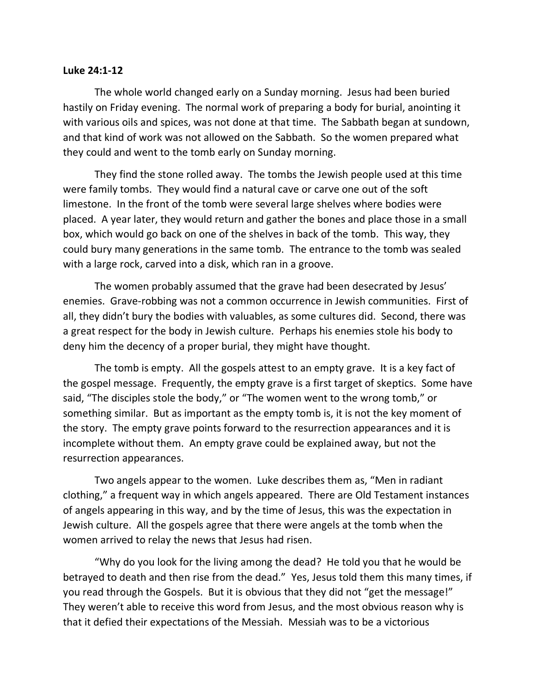## **Luke 24:1-12**

The whole world changed early on a Sunday morning. Jesus had been buried hastily on Friday evening. The normal work of preparing a body for burial, anointing it with various oils and spices, was not done at that time. The Sabbath began at sundown, and that kind of work was not allowed on the Sabbath. So the women prepared what they could and went to the tomb early on Sunday morning.

They find the stone rolled away. The tombs the Jewish people used at this time were family tombs. They would find a natural cave or carve one out of the soft limestone. In the front of the tomb were several large shelves where bodies were placed. A year later, they would return and gather the bones and place those in a small box, which would go back on one of the shelves in back of the tomb. This way, they could bury many generations in the same tomb. The entrance to the tomb was sealed with a large rock, carved into a disk, which ran in a groove.

The women probably assumed that the grave had been desecrated by Jesus' enemies. Grave-robbing was not a common occurrence in Jewish communities. First of all, they didn't bury the bodies with valuables, as some cultures did. Second, there was a great respect for the body in Jewish culture. Perhaps his enemies stole his body to deny him the decency of a proper burial, they might have thought.

The tomb is empty. All the gospels attest to an empty grave. It is a key fact of the gospel message. Frequently, the empty grave is a first target of skeptics. Some have said, "The disciples stole the body," or "The women went to the wrong tomb," or something similar. But as important as the empty tomb is, it is not the key moment of the story. The empty grave points forward to the resurrection appearances and it is incomplete without them. An empty grave could be explained away, but not the resurrection appearances.

Two angels appear to the women. Luke describes them as, "Men in radiant clothing," a frequent way in which angels appeared. There are Old Testament instances of angels appearing in this way, and by the time of Jesus, this was the expectation in Jewish culture. All the gospels agree that there were angels at the tomb when the women arrived to relay the news that Jesus had risen.

"Why do you look for the living among the dead? He told you that he would be betrayed to death and then rise from the dead." Yes, Jesus told them this many times, if you read through the Gospels. But it is obvious that they did not "get the message!" They weren't able to receive this word from Jesus, and the most obvious reason why is that it defied their expectations of the Messiah. Messiah was to be a victorious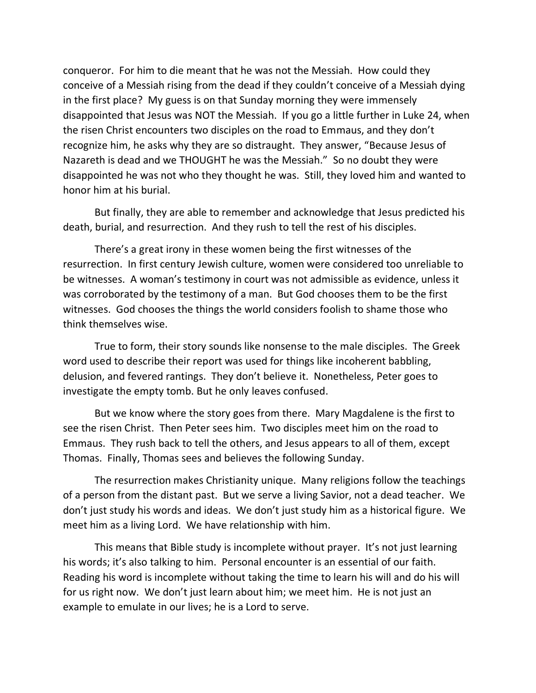conqueror. For him to die meant that he was not the Messiah. How could they conceive of a Messiah rising from the dead if they couldn't conceive of a Messiah dying in the first place? My guess is on that Sunday morning they were immensely disappointed that Jesus was NOT the Messiah. If you go a little further in Luke 24, when the risen Christ encounters two disciples on the road to Emmaus, and they don't recognize him, he asks why they are so distraught. They answer, "Because Jesus of Nazareth is dead and we THOUGHT he was the Messiah." So no doubt they were disappointed he was not who they thought he was. Still, they loved him and wanted to honor him at his burial.

But finally, they are able to remember and acknowledge that Jesus predicted his death, burial, and resurrection. And they rush to tell the rest of his disciples.

There's a great irony in these women being the first witnesses of the resurrection. In first century Jewish culture, women were considered too unreliable to be witnesses. A woman's testimony in court was not admissible as evidence, unless it was corroborated by the testimony of a man. But God chooses them to be the first witnesses. God chooses the things the world considers foolish to shame those who think themselves wise.

True to form, their story sounds like nonsense to the male disciples. The Greek word used to describe their report was used for things like incoherent babbling, delusion, and fevered rantings. They don't believe it. Nonetheless, Peter goes to investigate the empty tomb. But he only leaves confused.

But we know where the story goes from there. Mary Magdalene is the first to see the risen Christ. Then Peter sees him. Two disciples meet him on the road to Emmaus. They rush back to tell the others, and Jesus appears to all of them, except Thomas. Finally, Thomas sees and believes the following Sunday.

The resurrection makes Christianity unique. Many religions follow the teachings of a person from the distant past. But we serve a living Savior, not a dead teacher. We don't just study his words and ideas. We don't just study him as a historical figure. We meet him as a living Lord. We have relationship with him.

This means that Bible study is incomplete without prayer. It's not just learning his words; it's also talking to him. Personal encounter is an essential of our faith. Reading his word is incomplete without taking the time to learn his will and do his will for us right now. We don't just learn about him; we meet him. He is not just an example to emulate in our lives; he is a Lord to serve.